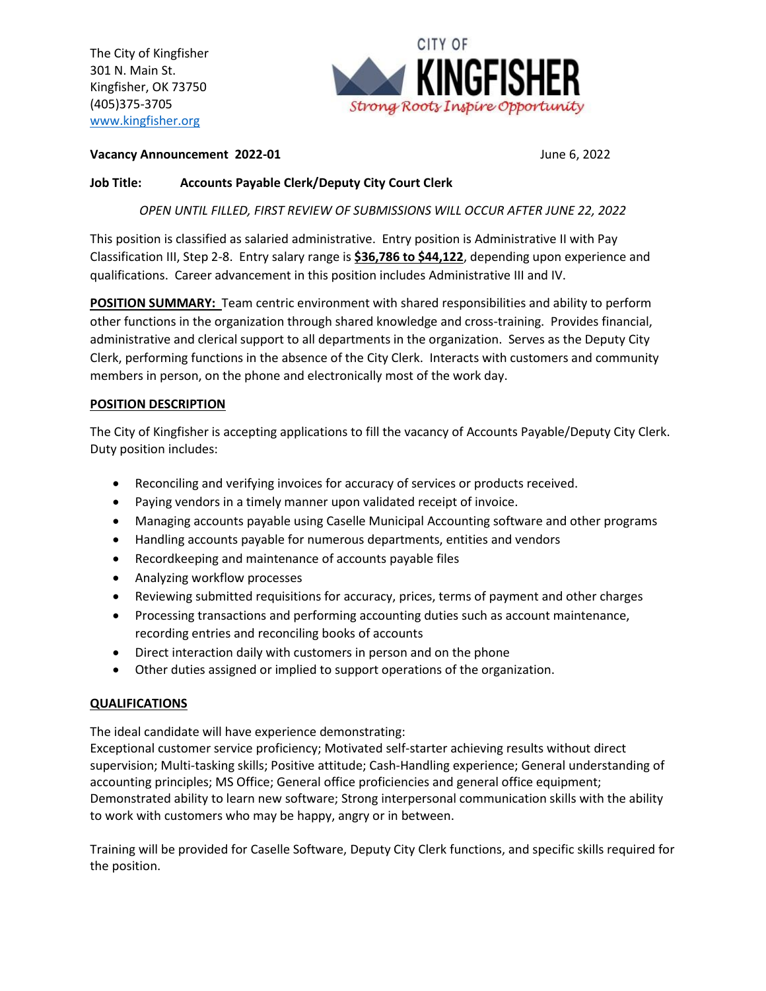The City of Kingfisher 301 N. Main St. Kingfisher, OK 73750 (405)375-3705 [www.kingfisher.org](http://www.kingfisher.org/)



**Vacancy Announcement 2022-01 June 6, 2022** 

## **Job Title: Accounts Payable Clerk/Deputy City Court Clerk**

*OPEN UNTIL FILLED, FIRST REVIEW OF SUBMISSIONS WILL OCCUR AFTER JUNE 22, 2022*

This position is classified as salaried administrative. Entry position is Administrative II with Pay Classification III, Step 2-8. Entry salary range is **\$36,786 to \$44,122**, depending upon experience and qualifications. Career advancement in this position includes Administrative III and IV.

**POSITION SUMMARY:** Team centric environment with shared responsibilities and ability to perform other functions in the organization through shared knowledge and cross-training. Provides financial, administrative and clerical support to all departments in the organization. Serves as the Deputy City Clerk, performing functions in the absence of the City Clerk. Interacts with customers and community members in person, on the phone and electronically most of the work day.

## **POSITION DESCRIPTION**

The City of Kingfisher is accepting applications to fill the vacancy of Accounts Payable/Deputy City Clerk. Duty position includes:

- Reconciling and verifying invoices for accuracy of services or products received.
- Paying vendors in a timely manner upon validated receipt of invoice.
- Managing accounts payable using Caselle Municipal Accounting software and other programs
- Handling accounts payable for numerous departments, entities and vendors
- Recordkeeping and maintenance of accounts payable files
- Analyzing workflow processes
- Reviewing submitted requisitions for accuracy, prices, terms of payment and other charges
- Processing transactions and performing accounting duties such as account maintenance, recording entries and reconciling books of accounts
- Direct interaction daily with customers in person and on the phone
- Other duties assigned or implied to support operations of the organization.

## **QUALIFICATIONS**

The ideal candidate will have experience demonstrating:

Exceptional customer service proficiency; Motivated self-starter achieving results without direct supervision; Multi-tasking skills; Positive attitude; Cash-Handling experience; General understanding of accounting principles; MS Office; General office proficiencies and general office equipment; Demonstrated ability to learn new software; Strong interpersonal communication skills with the ability to work with customers who may be happy, angry or in between.

Training will be provided for Caselle Software, Deputy City Clerk functions, and specific skills required for the position.